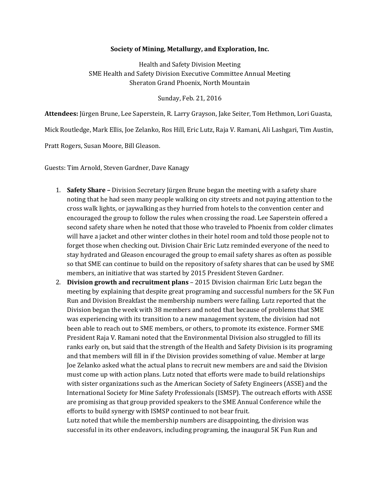## **Society of Mining, Metallurgy, and Exploration, Inc.**

Health and Safety Division Meeting SME Health and Safety Division Executive Committee Annual Meeting Sheraton Grand Phoenix, North Mountain

Sunday, Feb. 21, 2016

**Attendees:** Jürgen Brune, Lee Saperstein, R. Larry Grayson, Jake Seiter, Tom Hethmon, Lori Guasta,

Mick Routledge, Mark Ellis, Joe Zelanko, Ros Hill, Eric Lutz, Raja V. Ramani, Ali Lashgari, Tim Austin,

Pratt Rogers, Susan Moore, Bill Gleason.

Guests: Tim Arnold, Steven Gardner, Dave Kanagy

- 1. **Safety Share –** Division Secretary Jürgen Brune began the meeting with a safety share noting that he had seen many people walking on city streets and not paying attention to the cross walk lights, or jaywalking as they hurried from hotels to the convention center and encouraged the group to follow the rules when crossing the road. Lee Saperstein offered a second safety share when he noted that those who traveled to Phoenix from colder climates will have a jacket and other winter clothes in their hotel room and told those people not to forget those when checking out. Division Chair Eric Lutz reminded everyone of the need to stay hydrated and Gleason encouraged the group to email safety shares as often as possible so that SME can continue to build on the repository of safety shares that can be used by SME members, an initiative that was started by 2015 President Steven Gardner.
- 2. **Division growth and recruitment plans** 2015 Division chairman Eric Lutz began the meeting by explaining that despite great programing and successful numbers for the 5K Fun Run and Division Breakfast the membership numbers were failing. Lutz reported that the Division began the week with 38 members and noted that because of problems that SME was experiencing with its transition to a new management system, the division had not been able to reach out to SME members, or others, to promote its existence. Former SME President Raja V. Ramani noted that the Environmental Division also struggled to fill its ranks early on, but said that the strength of the Health and Safety Division is its programing and that members will fill in if the Division provides something of value. Member at large Joe Zelanko asked what the actual plans to recruit new members are and said the Division must come up with action plans. Lutz noted that efforts were made to build relationships with sister organizations such as the American Society of Safety Engineers (ASSE) and the International Society for Mine Safety Professionals (ISMSP). The outreach efforts with ASSE are promising as that group provided speakers to the SME Annual Conference while the efforts to build synergy with ISMSP continued to not bear fruit.

Lutz noted that while the membership numbers are disappointing, the division was successful in its other endeavors, including programing, the inaugural 5K Fun Run and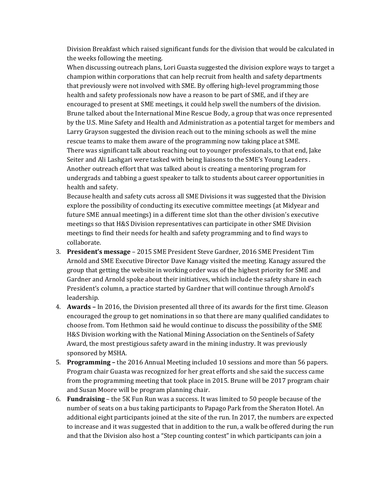Division Breakfast which raised significant funds for the division that would be calculated in the weeks following the meeting.

When discussing outreach plans, Lori Guasta suggested the division explore ways to target a champion within corporations that can help recruit from health and safety departments that previously were not involved with SME. By offering high-level programming those health and safety professionals now have a reason to be part of SME, and if they are encouraged to present at SME meetings, it could help swell the numbers of the division. Brune talked about the International Mine Rescue Body, a group that was once represented by the U.S. Mine Safety and Health and Administration as a potential target for members and Larry Grayson suggested the division reach out to the mining schools as well the mine rescue teams to make them aware of the programming now taking place at SME. There was significant talk about reaching out to younger professionals, to that end, Jake Seiter and Ali Lashgari were tasked with being liaisons to the SME's Young Leaders . Another outreach effort that was talked about is creating a mentoring program for undergrads and tabbing a guest speaker to talk to students about career opportunities in health and safety.

Because health and safety cuts across all SME Divisions it was suggested that the Division explore the possibility of conducting its executive committee meetings (at Midyear and future SME annual meetings) in a different time slot than the other division's executive meetings so that H&S Division representatives can participate in other SME Division meetings to find their needs for health and safety programming and to find ways to collaborate.

- 3. **President's message** 2015 SME President Steve Gardner, 2016 SME President Tim Arnold and SME Executive Director Dave Kanagy visited the meeting. Kanagy assured the group that getting the website in working order was of the highest priority for SME and Gardner and Arnold spoke about their initiatives, which include the safety share in each President's column, a practice started by Gardner that will continue through Arnold's leadership.
- 4. **Awards –** In 2016, the Division presented all three of its awards for the first time. Gleason encouraged the group to get nominations in so that there are many qualified candidates to choose from. Tom Hethmon said he would continue to discuss the possibility of the SME H&S Division working with the National Mining Association on the Sentinels of Safety Award, the most prestigious safety award in the mining industry. It was previously sponsored by MSHA.
- 5. **Programming –** the 2016 Annual Meeting included 10 sessions and more than 56 papers. Program chair Guasta was recognized for her great efforts and she said the success came from the programming meeting that took place in 2015. Brune will be 2017 program chair and Susan Moore will be program planning chair.
- 6. **Fundraising** the 5K Fun Run was a success. It was limited to 50 people because of the number of seats on a bus taking participants to Papago Park from the Sheraton Hotel. An additional eight participants joined at the site of the run. In 2017, the numbers are expected to increase and it was suggested that in addition to the run, a walk be offered during the run and that the Division also host a "Step counting contest" in which participants can join a